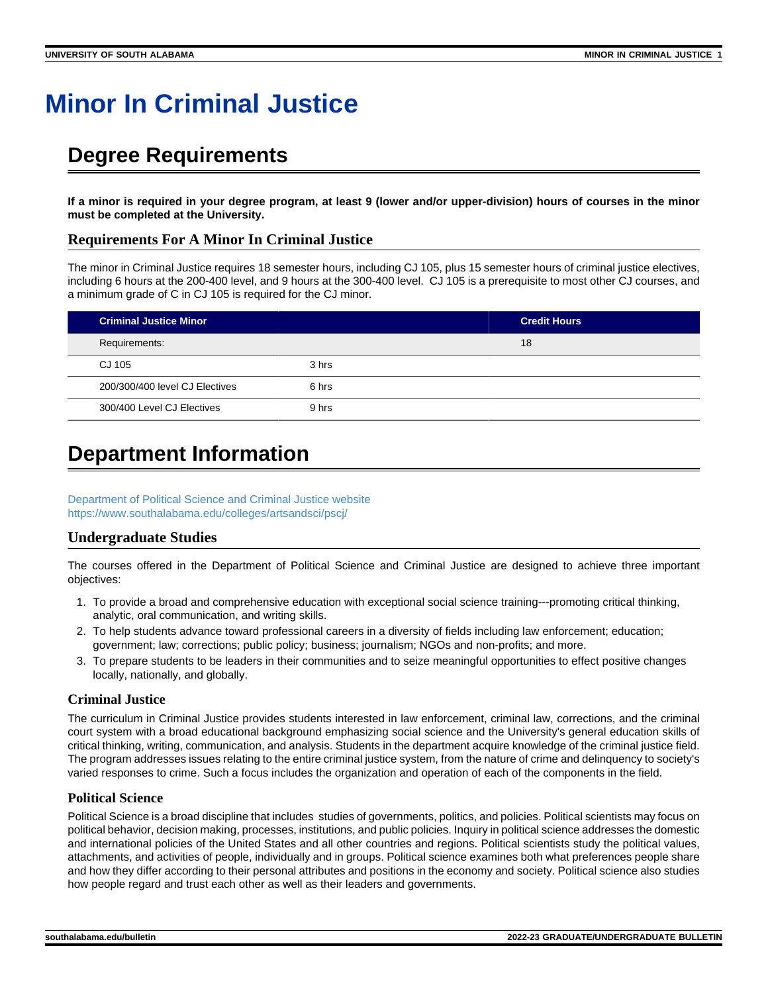# **Minor In Criminal Justice**

# **Degree Requirements**

**If a minor is required in your degree program, at least 9 (lower and/or upper-division) hours of courses in the minor must be completed at the University.**

# **Requirements For A Minor In Criminal Justice**

The minor in Criminal Justice requires 18 semester hours, including CJ 105, plus 15 semester hours of criminal justice electives, including 6 hours at the 200-400 level, and 9 hours at the 300-400 level. CJ 105 is a prerequisite to most other CJ courses, and a minimum grade of C in CJ 105 is required for the CJ minor.

| <b>Criminal Justice Minor</b>  |       | <b>Credit Hours</b> |
|--------------------------------|-------|---------------------|
| Requirements:                  |       | 18                  |
| CJ 105                         | 3 hrs |                     |
| 200/300/400 level CJ Electives | 6 hrs |                     |
| 300/400 Level CJ Electives     | 9 hrs |                     |

# **Department Information**

[Department of Political Science and Criminal Justice website](https://www.southalabama.edu/poliscie/) <https://www.southalabama.edu/colleges/artsandsci/pscj/>

# **Undergraduate Studies**

The courses offered in the Department of Political Science and Criminal Justice are designed to achieve three important objectives:

- 1. To provide a broad and comprehensive education with exceptional social science training---promoting critical thinking, analytic, oral communication, and writing skills.
- 2. To help students advance toward professional careers in a diversity of fields including law enforcement; education; government; law; corrections; public policy; business; journalism; NGOs and non-profits; and more.
- 3. To prepare students to be leaders in their communities and to seize meaningful opportunities to effect positive changes locally, nationally, and globally.

### **Criminal Justice**

The curriculum in Criminal Justice provides students interested in law enforcement, criminal law, corrections, and the criminal court system with a broad educational background emphasizing social science and the University's general education skills of critical thinking, writing, communication, and analysis. Students in the department acquire knowledge of the criminal justice field. The program addresses issues relating to the entire criminal justice system, from the nature of crime and delinquency to society's varied responses to crime. Such a focus includes the organization and operation of each of the components in the field.

# **Political Science**

Political Science is a broad discipline that includes studies of governments, politics, and policies. Political scientists may focus on political behavior, decision making, processes, institutions, and public policies. Inquiry in political science addresses the domestic and international policies of the United States and all other countries and regions. Political scientists study the political values, attachments, and activities of people, individually and in groups. Political science examines both what preferences people share and how they differ according to their personal attributes and positions in the economy and society. Political science also studies how people regard and trust each other as well as their leaders and governments.